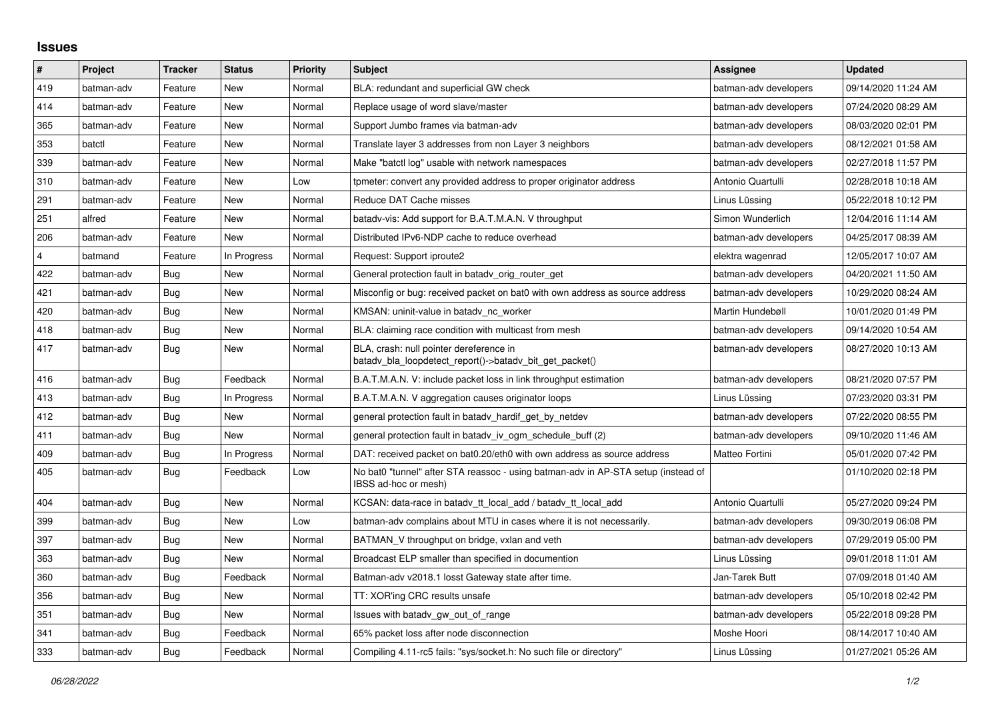## **Issues**

| #              | Project    | <b>Tracker</b> | <b>Status</b> | Priority | <b>Subject</b>                                                                                            | Assignee              | <b>Updated</b>      |
|----------------|------------|----------------|---------------|----------|-----------------------------------------------------------------------------------------------------------|-----------------------|---------------------|
| 419            | batman-adv | Feature        | <b>New</b>    | Normal   | BLA: redundant and superficial GW check                                                                   | batman-adv developers | 09/14/2020 11:24 AM |
| 414            | batman-adv | Feature        | New           | Normal   | Replace usage of word slave/master                                                                        | batman-adv developers | 07/24/2020 08:29 AM |
| 365            | batman-adv | Feature        | <b>New</b>    | Normal   | Support Jumbo frames via batman-adv                                                                       | batman-adv developers | 08/03/2020 02:01 PM |
| 353            | batctl     | Feature        | <b>New</b>    | Normal   | Translate layer 3 addresses from non Layer 3 neighbors                                                    | batman-adv developers | 08/12/2021 01:58 AM |
| 339            | batman-adv | Feature        | <b>New</b>    | Normal   | Make "batctl log" usable with network namespaces                                                          | batman-adv developers | 02/27/2018 11:57 PM |
| 310            | batman-adv | Feature        | New           | Low      | tpmeter: convert any provided address to proper originator address                                        | Antonio Quartulli     | 02/28/2018 10:18 AM |
| 291            | batman-adv | Feature        | <b>New</b>    | Normal   | Reduce DAT Cache misses                                                                                   | Linus Lüssing         | 05/22/2018 10:12 PM |
| 251            | alfred     | Feature        | <b>New</b>    | Normal   | batady-vis: Add support for B.A.T.M.A.N. V throughput                                                     | Simon Wunderlich      | 12/04/2016 11:14 AM |
| 206            | batman-adv | Feature        | New           | Normal   | Distributed IPv6-NDP cache to reduce overhead                                                             | batman-adv developers | 04/25/2017 08:39 AM |
| $\overline{4}$ | batmand    | Feature        | In Progress   | Normal   | Request: Support iproute2                                                                                 | elektra wagenrad      | 12/05/2017 10:07 AM |
| 422            | batman-adv | Bug            | <b>New</b>    | Normal   | General protection fault in batady orig router get                                                        | batman-adv developers | 04/20/2021 11:50 AM |
| 421            | batman-adv | <b>Bug</b>     | <b>New</b>    | Normal   | Misconfig or bug: received packet on bat0 with own address as source address                              | batman-adv developers | 10/29/2020 08:24 AM |
| 420            | batman-adv | Bug            | <b>New</b>    | Normal   | KMSAN: uninit-value in batady nc worker                                                                   | Martin Hundebøll      | 10/01/2020 01:49 PM |
| 418            | batman-adv | <b>Bug</b>     | <b>New</b>    | Normal   | BLA: claiming race condition with multicast from mesh                                                     | batman-adv developers | 09/14/2020 10:54 AM |
| 417            | batman-adv | Bug            | <b>New</b>    | Normal   | BLA, crash: null pointer dereference in<br>batady bla loopdetect report()->batady bit get packet()        | batman-adv developers | 08/27/2020 10:13 AM |
| 416            | batman-adv | Bug            | Feedback      | Normal   | B.A.T.M.A.N. V: include packet loss in link throughput estimation                                         | batman-adv developers | 08/21/2020 07:57 PM |
| 413            | batman-adv | Bug            | In Progress   | Normal   | B.A.T.M.A.N. V aggregation causes originator loops                                                        | Linus Lüssing         | 07/23/2020 03:31 PM |
| 412            | batman-adv | Bug            | <b>New</b>    | Normal   | general protection fault in batady hardif get by netdev                                                   | batman-adv developers | 07/22/2020 08:55 PM |
| 411            | batman-adv | Bug            | <b>New</b>    | Normal   | general protection fault in batady iv ogm_schedule_buff (2)                                               | batman-adv developers | 09/10/2020 11:46 AM |
| 409            | batman-adv | Bug            | In Progress   | Normal   | DAT: received packet on bat0.20/eth0 with own address as source address                                   | Matteo Fortini        | 05/01/2020 07:42 PM |
| 405            | batman-adv | Bug            | Feedback      | Low      | No bat0 "tunnel" after STA reassoc - using batman-adv in AP-STA setup (instead of<br>IBSS ad-hoc or mesh) |                       | 01/10/2020 02:18 PM |
| 404            | batman-adv | Bug            | New           | Normal   | KCSAN: data-race in batady tt local add / batady tt local add                                             | Antonio Quartulli     | 05/27/2020 09:24 PM |
| 399            | batman-adv | Bug            | New           | Low      | batman-adv complains about MTU in cases where it is not necessarily.                                      | batman-adv developers | 09/30/2019 06:08 PM |
| 397            | batman-adv | <b>Bug</b>     | <b>New</b>    | Normal   | BATMAN_V throughput on bridge, vxlan and veth                                                             | batman-adv developers | 07/29/2019 05:00 PM |
| 363            | batman-adv | Bug            | <b>New</b>    | Normal   | Broadcast ELP smaller than specified in documention                                                       | Linus Lüssing         | 09/01/2018 11:01 AM |
| 360            | batman-adv | Bug            | Feedback      | Normal   | Batman-adv v2018.1 losst Gateway state after time.                                                        | Jan-Tarek Butt        | 07/09/2018 01:40 AM |
| 356            | batman-adv | Bug            | <b>New</b>    | Normal   | TT: XOR'ing CRC results unsafe                                                                            | batman-adv developers | 05/10/2018 02:42 PM |
| 351            | batman-adv | <b>Bug</b>     | <b>New</b>    | Normal   | Issues with batady gw out of range                                                                        | batman-adv developers | 05/22/2018 09:28 PM |
| 341            | batman-adv | Bug            | Feedback      | Normal   | 65% packet loss after node disconnection                                                                  | Moshe Hoori           | 08/14/2017 10:40 AM |
| 333            | batman-adv | Bug            | Feedback      | Normal   | Compiling 4.11-rc5 fails: "sys/socket.h: No such file or directory"                                       | Linus Lüssing         | 01/27/2021 05:26 AM |